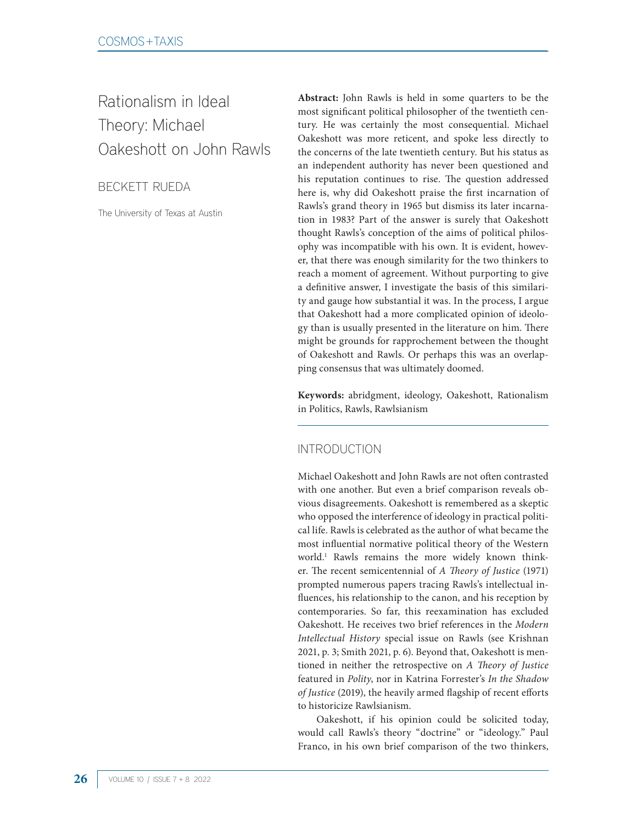Rationalism in Ideal Theory: Michael Oakeshott on John Rawls

BECKETT RUEDA

The University of Texas at Austin

**Abstract:** John Rawls is held in some quarters to be the most significant political philosopher of the twentieth century. He was certainly the most consequential. Michael Oakeshott was more reticent, and spoke less directly to the concerns of the late twentieth century. But his status as an independent authority has never been questioned and his reputation continues to rise. The question addressed here is, why did Oakeshott praise the first incarnation of Rawls's grand theory in 1965 but dismiss its later incarnation in 1983? Part of the answer is surely that Oakeshott thought Rawls's conception of the aims of political philosophy was incompatible with his own. It is evident, however, that there was enough similarity for the two thinkers to reach a moment of agreement. Without purporting to give a definitive answer, I investigate the basis of this similarity and gauge how substantial it was. In the process, I argue that Oakeshott had a more complicated opinion of ideology than is usually presented in the literature on him. There might be grounds for rapprochement between the thought of Oakeshott and Rawls. Or perhaps this was an overlapping consensus that was ultimately doomed.

**Keywords:** abridgment, ideology, Oakeshott, Rationalism in Politics, Rawls, Rawlsianism

## INTRODUCTION

Michael Oakeshott and John Rawls are not often contrasted with one another. But even a brief comparison reveals obvious disagreements. Oakeshott is remembered as a skeptic who opposed the interference of ideology in practical political life. Rawls is celebrated as the author of what became the most influential normative political theory of the Western world.1 Rawls remains the more widely known thinker. The recent semicentennial of *A Theory of Justice* (1971) prompted numerous papers tracing Rawls's intellectual influences, his relationship to the canon, and his reception by contemporaries. So far, this reexamination has excluded Oakeshott. He receives two brief references in the *Modern Intellectual History* special issue on Rawls (see Krishnan 2021, p. 3; Smith 2021, p. 6). Beyond that, Oakeshott is mentioned in neither the retrospective on *A Theory of Justice* featured in *Polity*, nor in Katrina Forrester's *In the Shadow of Justice* (2019), the heavily armed flagship of recent efforts to historicize Rawlsianism.

Oakeshott, if his opinion could be solicited today, would call Rawls's theory "doctrine" or "ideology." Paul Franco, in his own brief comparison of the two thinkers,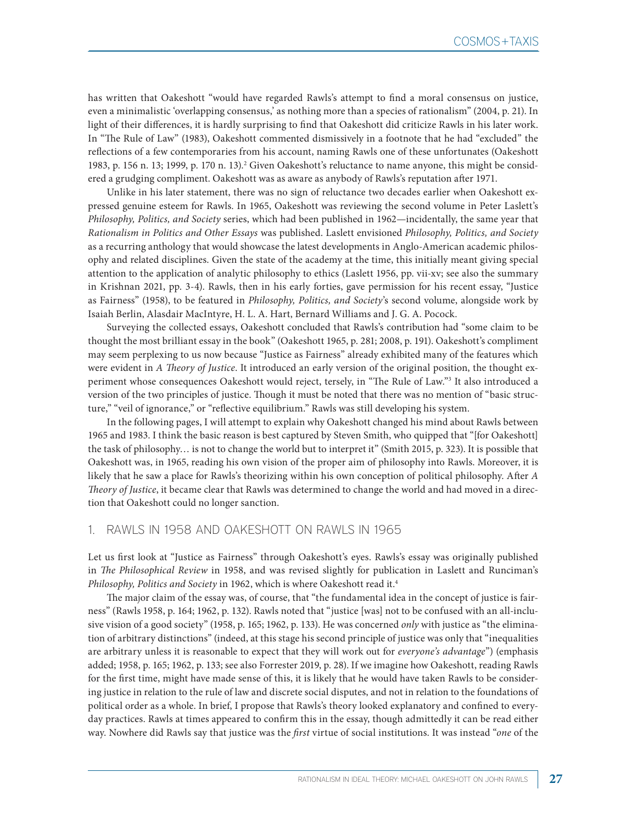has written that Oakeshott "would have regarded Rawls's attempt to find a moral consensus on justice, even a minimalistic 'overlapping consensus,' as nothing more than a species of rationalism" (2004, p. 21). In light of their differences, it is hardly surprising to find that Oakeshott did criticize Rawls in his later work. In "The Rule of Law" (1983), Oakeshott commented dismissively in a footnote that he had "excluded" the reflections of a few contemporaries from his account, naming Rawls one of these unfortunates (Oakeshott 1983, p. 156 n. 13; 1999, p. 170 n. 13).2 Given Oakeshott's reluctance to name anyone, this might be considered a grudging compliment. Oakeshott was as aware as anybody of Rawls's reputation after 1971.

Unlike in his later statement, there was no sign of reluctance two decades earlier when Oakeshott expressed genuine esteem for Rawls. In 1965, Oakeshott was reviewing the second volume in Peter Laslett's *Philosophy, Politics, and Society* series, which had been published in 1962—incidentally, the same year that *Rationalism in Politics and Other Essays* was published. Laslett envisioned *Philosophy, Politics, and Society* as a recurring anthology that would showcase the latest developments in Anglo-American academic philosophy and related disciplines. Given the state of the academy at the time, this initially meant giving special attention to the application of analytic philosophy to ethics (Laslett 1956, pp. vii-xv; see also the summary in Krishnan 2021, pp. 3-4). Rawls, then in his early forties, gave permission for his recent essay, "Justice as Fairness" (1958), to be featured in *Philosophy, Politics, and Society*'s second volume, alongside work by Isaiah Berlin, Alasdair MacIntyre, H. L. A. Hart, Bernard Williams and J. G. A. Pocock.

Surveying the collected essays, Oakeshott concluded that Rawls's contribution had "some claim to be thought the most brilliant essay in the book" (Oakeshott 1965, p. 281; 2008, p. 191). Oakeshott's compliment may seem perplexing to us now because "Justice as Fairness" already exhibited many of the features which were evident in *A Theory of Justice*. It introduced an early version of the original position, the thought experiment whose consequences Oakeshott would reject, tersely, in "The Rule of Law."3 It also introduced a version of the two principles of justice. Though it must be noted that there was no mention of "basic structure," "veil of ignorance," or "reflective equilibrium." Rawls was still developing his system.

In the following pages, I will attempt to explain why Oakeshott changed his mind about Rawls between 1965 and 1983. I think the basic reason is best captured by Steven Smith, who quipped that "[for Oakeshott] the task of philosophy… is not to change the world but to interpret it" (Smith 2015, p. 323). It is possible that Oakeshott was, in 1965, reading his own vision of the proper aim of philosophy into Rawls. Moreover, it is likely that he saw a place for Rawls's theorizing within his own conception of political philosophy. After *A Theory of Justice*, it became clear that Rawls was determined to change the world and had moved in a direction that Oakeshott could no longer sanction.

#### 1. RAWLS IN 1958 AND OAKESHOTT ON RAWLS IN 1965

Let us first look at "Justice as Fairness" through Oakeshott's eyes. Rawls's essay was originally published in *The Philosophical Review* in 1958, and was revised slightly for publication in Laslett and Runciman's *Philosophy, Politics and Society* in 1962, which is where Oakeshott read it.4

The major claim of the essay was, of course, that "the fundamental idea in the concept of justice is fairness" (Rawls 1958, p. 164; 1962, p. 132). Rawls noted that "justice [was] not to be confused with an all-inclusive vision of a good society" (1958, p. 165; 1962, p. 133). He was concerned *only* with justice as "the elimination of arbitrary distinctions" (indeed, at this stage his second principle of justice was only that "inequalities are arbitrary unless it is reasonable to expect that they will work out for *everyone's advantage*") (emphasis added; 1958, p. 165; 1962, p. 133; see also Forrester 2019, p. 28). If we imagine how Oakeshott, reading Rawls for the first time, might have made sense of this, it is likely that he would have taken Rawls to be considering justice in relation to the rule of law and discrete social disputes, and not in relation to the foundations of political order as a whole. In brief, I propose that Rawls's theory looked explanatory and confined to everyday practices. Rawls at times appeared to confirm this in the essay, though admittedly it can be read either way. Nowhere did Rawls say that justice was the *first* virtue of social institutions. It was instead "*one* of the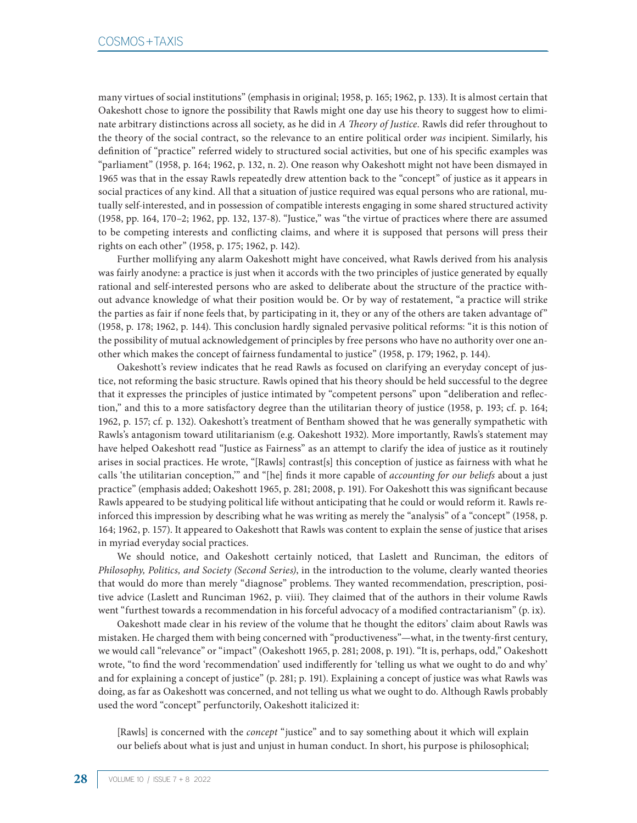many virtues of social institutions" (emphasis in original; 1958, p. 165; 1962, p. 133). It is almost certain that Oakeshott chose to ignore the possibility that Rawls might one day use his theory to suggest how to eliminate arbitrary distinctions across all society, as he did in *A Theory of Justice*. Rawls did refer throughout to the theory of the social contract, so the relevance to an entire political order *was* incipient. Similarly, his definition of "practice" referred widely to structured social activities, but one of his specific examples was "parliament" (1958, p. 164; 1962, p. 132, n. 2). One reason why Oakeshott might not have been dismayed in 1965 was that in the essay Rawls repeatedly drew attention back to the "concept" of justice as it appears in social practices of any kind. All that a situation of justice required was equal persons who are rational, mutually self-interested, and in possession of compatible interests engaging in some shared structured activity (1958, pp. 164, 170–2; 1962, pp. 132, 137-8). "Justice," was "the virtue of practices where there are assumed to be competing interests and conflicting claims, and where it is supposed that persons will press their rights on each other" (1958, p. 175; 1962, p. 142).

Further mollifying any alarm Oakeshott might have conceived, what Rawls derived from his analysis was fairly anodyne: a practice is just when it accords with the two principles of justice generated by equally rational and self-interested persons who are asked to deliberate about the structure of the practice without advance knowledge of what their position would be. Or by way of restatement, "a practice will strike the parties as fair if none feels that, by participating in it, they or any of the others are taken advantage of" (1958, p. 178; 1962, p. 144). This conclusion hardly signaled pervasive political reforms: "it is this notion of the possibility of mutual acknowledgement of principles by free persons who have no authority over one another which makes the concept of fairness fundamental to justice" (1958, p. 179; 1962, p. 144).

Oakeshott's review indicates that he read Rawls as focused on clarifying an everyday concept of justice, not reforming the basic structure. Rawls opined that his theory should be held successful to the degree that it expresses the principles of justice intimated by "competent persons" upon "deliberation and reflection," and this to a more satisfactory degree than the utilitarian theory of justice (1958, p. 193; cf. p. 164; 1962, p. 157; cf. p. 132). Oakeshott's treatment of Bentham showed that he was generally sympathetic with Rawls's antagonism toward utilitarianism (e.g. Oakeshott 1932). More importantly, Rawls's statement may have helped Oakeshott read "Justice as Fairness" as an attempt to clarify the idea of justice as it routinely arises in social practices. He wrote, "[Rawls] contrast[s] this conception of justice as fairness with what he calls 'the utilitarian conception,'" and "[he] finds it more capable of *accounting for our beliefs* about a just practice" (emphasis added; Oakeshott 1965, p. 281; 2008, p. 191). For Oakeshott this was significant because Rawls appeared to be studying political life without anticipating that he could or would reform it. Rawls reinforced this impression by describing what he was writing as merely the "analysis" of a "concept" (1958, p. 164; 1962, p. 157). It appeared to Oakeshott that Rawls was content to explain the sense of justice that arises in myriad everyday social practices.

We should notice, and Oakeshott certainly noticed, that Laslett and Runciman, the editors of *Philosophy, Politics, and Society (Second Series)*, in the introduction to the volume, clearly wanted theories that would do more than merely "diagnose" problems. They wanted recommendation, prescription, positive advice (Laslett and Runciman 1962, p. viii). They claimed that of the authors in their volume Rawls went "furthest towards a recommendation in his forceful advocacy of a modified contractarianism" (p. ix).

Oakeshott made clear in his review of the volume that he thought the editors' claim about Rawls was mistaken. He charged them with being concerned with "productiveness"—what, in the twenty-first century, we would call "relevance" or "impact" (Oakeshott 1965, p. 281; 2008, p. 191). "It is, perhaps, odd," Oakeshott wrote, "to find the word 'recommendation' used indifferently for 'telling us what we ought to do and why' and for explaining a concept of justice" (p. 281; p. 191). Explaining a concept of justice was what Rawls was doing, as far as Oakeshott was concerned, and not telling us what we ought to do. Although Rawls probably used the word "concept" perfunctorily, Oakeshott italicized it:

[Rawls] is concerned with the *concept* "justice" and to say something about it which will explain our beliefs about what is just and unjust in human conduct. In short, his purpose is philosophical;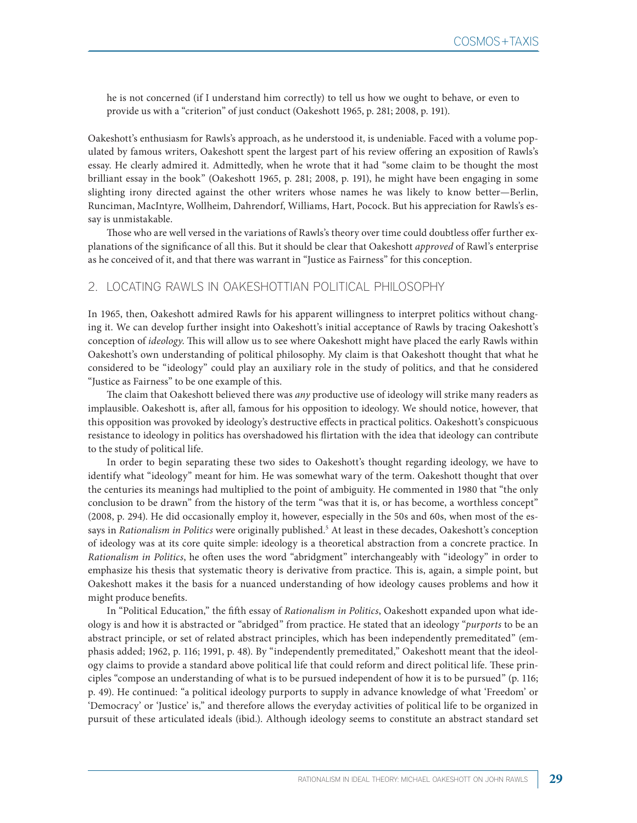he is not concerned (if I understand him correctly) to tell us how we ought to behave, or even to provide us with a "criterion" of just conduct (Oakeshott 1965, p. 281; 2008, p. 191).

Oakeshott's enthusiasm for Rawls's approach, as he understood it, is undeniable. Faced with a volume populated by famous writers, Oakeshott spent the largest part of his review offering an exposition of Rawls's essay. He clearly admired it. Admittedly, when he wrote that it had "some claim to be thought the most brilliant essay in the book" (Oakeshott 1965, p. 281; 2008, p. 191), he might have been engaging in some slighting irony directed against the other writers whose names he was likely to know better—Berlin, Runciman, MacIntyre, Wollheim, Dahrendorf, Williams, Hart, Pocock. But his appreciation for Rawls's essay is unmistakable.

Those who are well versed in the variations of Rawls's theory over time could doubtless offer further explanations of the significance of all this. But it should be clear that Oakeshott *approved* of Rawl's enterprise as he conceived of it, and that there was warrant in "Justice as Fairness" for this conception.

#### 2. LOCATING RAWLS IN OAKESHOTTIAN POLITICAL PHILOSOPHY

In 1965, then, Oakeshott admired Rawls for his apparent willingness to interpret politics without changing it. We can develop further insight into Oakeshott's initial acceptance of Rawls by tracing Oakeshott's conception of *ideology*. This will allow us to see where Oakeshott might have placed the early Rawls within Oakeshott's own understanding of political philosophy. My claim is that Oakeshott thought that what he considered to be "ideology" could play an auxiliary role in the study of politics, and that he considered "Justice as Fairness" to be one example of this.

The claim that Oakeshott believed there was *any* productive use of ideology will strike many readers as implausible. Oakeshott is, after all, famous for his opposition to ideology. We should notice, however, that this opposition was provoked by ideology's destructive effects in practical politics. Oakeshott's conspicuous resistance to ideology in politics has overshadowed his flirtation with the idea that ideology can contribute to the study of political life.

In order to begin separating these two sides to Oakeshott's thought regarding ideology, we have to identify what "ideology" meant for him. He was somewhat wary of the term. Oakeshott thought that over the centuries its meanings had multiplied to the point of ambiguity. He commented in 1980 that "the only conclusion to be drawn" from the history of the term "was that it is, or has become, a worthless concept" (2008, p. 294). He did occasionally employ it, however, especially in the 50s and 60s, when most of the essays in *Rationalism in Politics* were originally published.<sup>5</sup> At least in these decades, Oakeshott's conception of ideology was at its core quite simple: ideology is a theoretical abstraction from a concrete practice. In *Rationalism in Politics*, he often uses the word "abridgment" interchangeably with "ideology" in order to emphasize his thesis that systematic theory is derivative from practice. This is, again, a simple point, but Oakeshott makes it the basis for a nuanced understanding of how ideology causes problems and how it might produce benefits.

In "Political Education," the fifth essay of *Rationalism in Politics*, Oakeshott expanded upon what ideology is and how it is abstracted or "abridged" from practice. He stated that an ideology "*purports* to be an abstract principle, or set of related abstract principles, which has been independently premeditated" (emphasis added; 1962, p. 116; 1991, p. 48). By "independently premeditated," Oakeshott meant that the ideology claims to provide a standard above political life that could reform and direct political life. These principles "compose an understanding of what is to be pursued independent of how it is to be pursued" (p. 116; p. 49). He continued: "a political ideology purports to supply in advance knowledge of what 'Freedom' or 'Democracy' or 'Justice' is," and therefore allows the everyday activities of political life to be organized in pursuit of these articulated ideals (ibid.). Although ideology seems to constitute an abstract standard set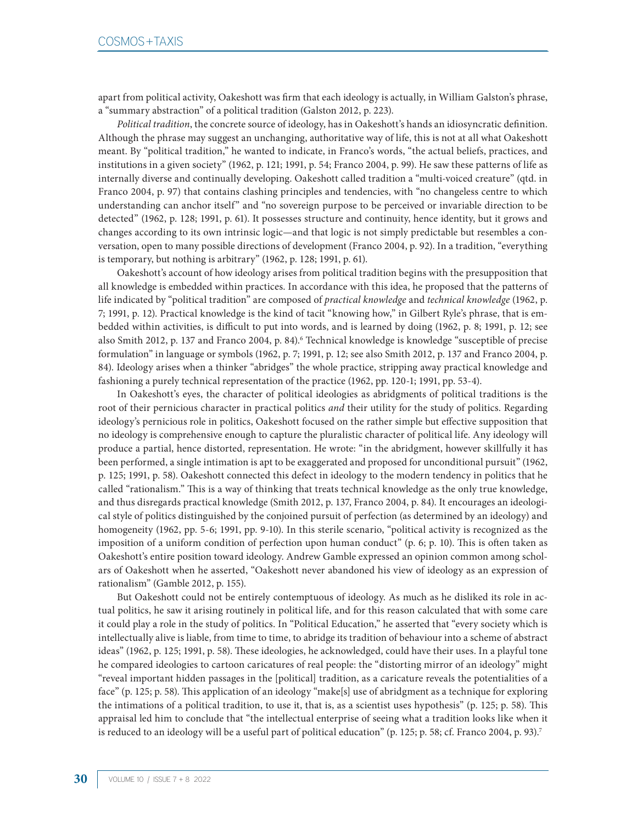apart from political activity, Oakeshott was firm that each ideology is actually, in William Galston's phrase, a "summary abstraction" of a political tradition (Galston 2012, p. 223).

*Political tradition*, the concrete source of ideology, has in Oakeshott's hands an idiosyncratic definition. Although the phrase may suggest an unchanging, authoritative way of life, this is not at all what Oakeshott meant. By "political tradition," he wanted to indicate, in Franco's words, "the actual beliefs, practices, and institutions in a given society" (1962, p. 121; 1991, p. 54; Franco 2004, p. 99). He saw these patterns of life as internally diverse and continually developing. Oakeshott called tradition a "multi-voiced creature" (qtd. in Franco 2004, p. 97) that contains clashing principles and tendencies, with "no changeless centre to which understanding can anchor itself" and "no sovereign purpose to be perceived or invariable direction to be detected" (1962, p. 128; 1991, p. 61). It possesses structure and continuity, hence identity, but it grows and changes according to its own intrinsic logic—and that logic is not simply predictable but resembles a conversation, open to many possible directions of development (Franco 2004, p. 92). In a tradition, "everything is temporary, but nothing is arbitrary" (1962, p. 128; 1991, p. 61).

Oakeshott's account of how ideology arises from political tradition begins with the presupposition that all knowledge is embedded within practices. In accordance with this idea, he proposed that the patterns of life indicated by "political tradition" are composed of *practical knowledge* and *technical knowledge* (1962, p. 7; 1991, p. 12). Practical knowledge is the kind of tacit "knowing how," in Gilbert Ryle's phrase, that is embedded within activities, is difficult to put into words, and is learned by doing (1962, p. 8; 1991, p. 12; see also Smith 2012, p. 137 and Franco 2004, p. 84).<sup>6</sup> Technical knowledge is knowledge "susceptible of precise formulation" in language or symbols (1962, p. 7; 1991, p. 12; see also Smith 2012, p. 137 and Franco 2004, p. 84). Ideology arises when a thinker "abridges" the whole practice, stripping away practical knowledge and fashioning a purely technical representation of the practice (1962, pp. 120-1; 1991, pp. 53-4).

In Oakeshott's eyes, the character of political ideologies as abridgments of political traditions is the root of their pernicious character in practical politics *and* their utility for the study of politics. Regarding ideology's pernicious role in politics, Oakeshott focused on the rather simple but effective supposition that no ideology is comprehensive enough to capture the pluralistic character of political life. Any ideology will produce a partial, hence distorted, representation. He wrote: "in the abridgment, however skillfully it has been performed, a single intimation is apt to be exaggerated and proposed for unconditional pursuit" (1962, p. 125; 1991, p. 58). Oakeshott connected this defect in ideology to the modern tendency in politics that he called "rationalism." This is a way of thinking that treats technical knowledge as the only true knowledge, and thus disregards practical knowledge (Smith 2012, p. 137, Franco 2004, p. 84). It encourages an ideological style of politics distinguished by the conjoined pursuit of perfection (as determined by an ideology) and homogeneity (1962, pp. 5-6; 1991, pp. 9-10). In this sterile scenario, "political activity is recognized as the imposition of a uniform condition of perfection upon human conduct" (p. 6; p. 10). This is often taken as Oakeshott's entire position toward ideology. Andrew Gamble expressed an opinion common among scholars of Oakeshott when he asserted, "Oakeshott never abandoned his view of ideology as an expression of rationalism" (Gamble 2012, p. 155).

But Oakeshott could not be entirely contemptuous of ideology. As much as he disliked its role in actual politics, he saw it arising routinely in political life, and for this reason calculated that with some care it could play a role in the study of politics. In "Political Education," he asserted that "every society which is intellectually alive is liable, from time to time, to abridge its tradition of behaviour into a scheme of abstract ideas" (1962, p. 125; 1991, p. 58). These ideologies, he acknowledged, could have their uses. In a playful tone he compared ideologies to cartoon caricatures of real people: the "distorting mirror of an ideology" might "reveal important hidden passages in the [political] tradition, as a caricature reveals the potentialities of a face" (p. 125; p. 58). This application of an ideology "make[s] use of abridgment as a technique for exploring the intimations of a political tradition, to use it, that is, as a scientist uses hypothesis" (p. 125; p. 58). This appraisal led him to conclude that "the intellectual enterprise of seeing what a tradition looks like when it is reduced to an ideology will be a useful part of political education" (p. 125; p. 58; cf. Franco 2004, p. 93).<sup>7</sup>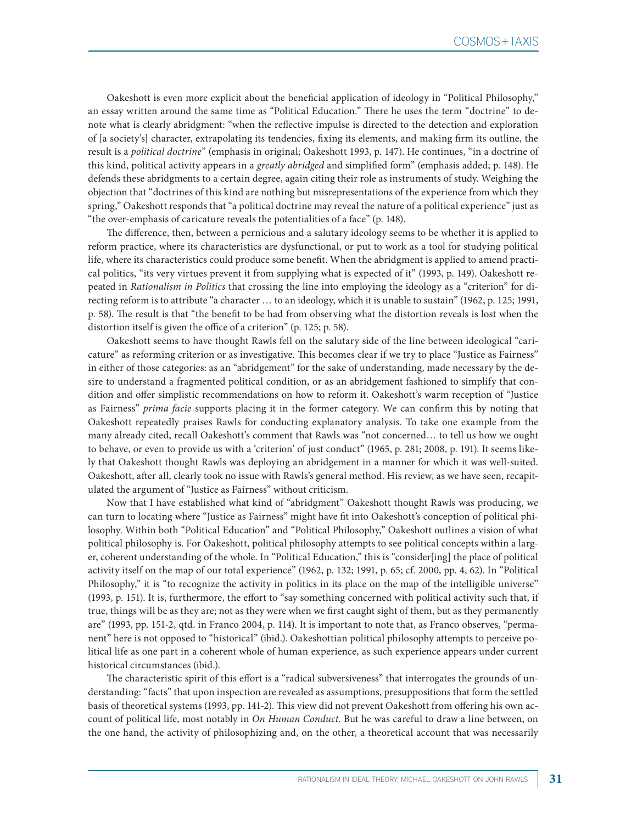Oakeshott is even more explicit about the beneficial application of ideology in "Political Philosophy," an essay written around the same time as "Political Education." There he uses the term "doctrine" to denote what is clearly abridgment: "when the reflective impulse is directed to the detection and exploration of [a society's] character, extrapolating its tendencies, fixing its elements, and making firm its outline, the result is a *political doctrine*" (emphasis in original; Oakeshott 1993, p. 147). He continues, "in a doctrine of this kind, political activity appears in a *greatly abridged* and simplified form" (emphasis added; p. 148). He defends these abridgments to a certain degree, again citing their role as instruments of study. Weighing the objection that "doctrines of this kind are nothing but misrepresentations of the experience from which they spring," Oakeshott responds that "a political doctrine may reveal the nature of a political experience" just as "the over-emphasis of caricature reveals the potentialities of a face" (p. 148).

The difference, then, between a pernicious and a salutary ideology seems to be whether it is applied to reform practice, where its characteristics are dysfunctional, or put to work as a tool for studying political life, where its characteristics could produce some benefit. When the abridgment is applied to amend practical politics, "its very virtues prevent it from supplying what is expected of it" (1993, p. 149). Oakeshott repeated in *Rationalism in Politics* that crossing the line into employing the ideology as a "criterion" for directing reform is to attribute "a character … to an ideology, which it is unable to sustain" (1962, p. 125; 1991, p. 58). The result is that "the benefit to be had from observing what the distortion reveals is lost when the distortion itself is given the office of a criterion" (p. 125; p. 58).

Oakeshott seems to have thought Rawls fell on the salutary side of the line between ideological "caricature" as reforming criterion or as investigative. This becomes clear if we try to place "Justice as Fairness" in either of those categories: as an "abridgement" for the sake of understanding, made necessary by the desire to understand a fragmented political condition, or as an abridgement fashioned to simplify that condition and offer simplistic recommendations on how to reform it. Oakeshott's warm reception of "Justice as Fairness" *prima facie* supports placing it in the former category. We can confirm this by noting that Oakeshott repeatedly praises Rawls for conducting explanatory analysis. To take one example from the many already cited, recall Oakeshott's comment that Rawls was "not concerned… to tell us how we ought to behave, or even to provide us with a 'criterion' of just conduct" (1965, p. 281; 2008, p. 191). It seems likely that Oakeshott thought Rawls was deploying an abridgement in a manner for which it was well-suited. Oakeshott, after all, clearly took no issue with Rawls's general method. His review, as we have seen, recapitulated the argument of "Justice as Fairness" without criticism.

Now that I have established what kind of "abridgment" Oakeshott thought Rawls was producing, we can turn to locating where "Justice as Fairness" might have fit into Oakeshott's conception of political philosophy. Within both "Political Education" and "Political Philosophy," Oakeshott outlines a vision of what political philosophy is. For Oakeshott, political philosophy attempts to see political concepts within a larger, coherent understanding of the whole. In "Political Education," this is "consider[ing] the place of political activity itself on the map of our total experience" (1962, p. 132; 1991, p. 65; cf. 2000, pp. 4, 62). In "Political Philosophy," it is "to recognize the activity in politics in its place on the map of the intelligible universe" (1993, p. 151). It is, furthermore, the effort to "say something concerned with political activity such that, if true, things will be as they are; not as they were when we first caught sight of them, but as they permanently are" (1993, pp. 151-2, qtd. in Franco 2004, p. 114). It is important to note that, as Franco observes, "permanent" here is not opposed to "historical" (ibid.). Oakeshottian political philosophy attempts to perceive political life as one part in a coherent whole of human experience, as such experience appears under current historical circumstances (ibid.).

The characteristic spirit of this effort is a "radical subversiveness" that interrogates the grounds of understanding: "facts" that upon inspection are revealed as assumptions, presuppositions that form the settled basis of theoretical systems (1993, pp. 141-2). This view did not prevent Oakeshott from offering his own account of political life, most notably in *On Human Conduct*. But he was careful to draw a line between, on the one hand, the activity of philosophizing and, on the other, a theoretical account that was necessarily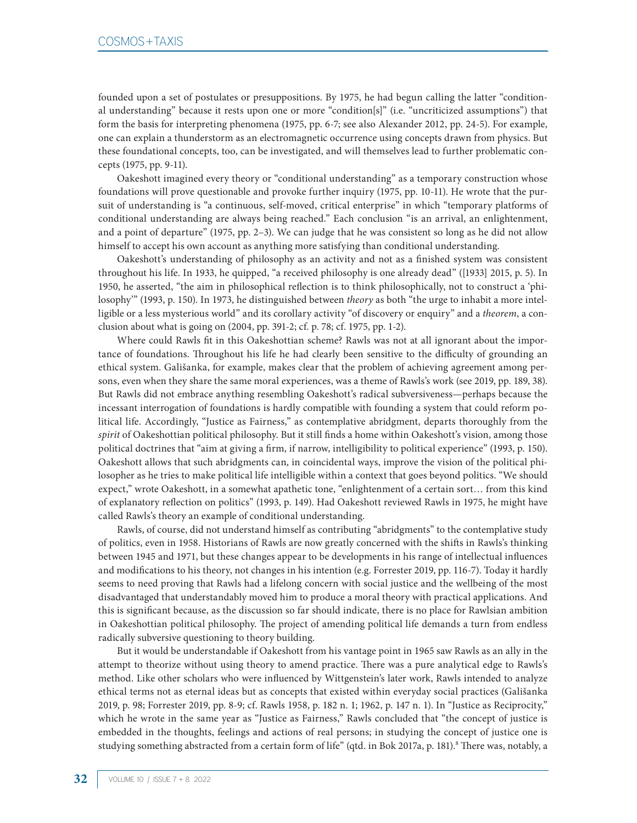founded upon a set of postulates or presuppositions. By 1975, he had begun calling the latter "conditional understanding" because it rests upon one or more "condition[s]" (i.e. "uncriticized assumptions") that form the basis for interpreting phenomena (1975, pp. 6-7; see also Alexander 2012, pp. 24-5). For example, one can explain a thunderstorm as an electromagnetic occurrence using concepts drawn from physics. But these foundational concepts, too, can be investigated, and will themselves lead to further problematic concepts (1975, pp. 9-11).

Oakeshott imagined every theory or "conditional understanding" as a temporary construction whose foundations will prove questionable and provoke further inquiry (1975, pp. 10-11). He wrote that the pursuit of understanding is "a continuous, self-moved, critical enterprise" in which "temporary platforms of conditional understanding are always being reached." Each conclusion "is an arrival, an enlightenment, and a point of departure" (1975, pp. 2–3). We can judge that he was consistent so long as he did not allow himself to accept his own account as anything more satisfying than conditional understanding.

Oakeshott's understanding of philosophy as an activity and not as a finished system was consistent throughout his life. In 1933, he quipped, "a received philosophy is one already dead" ([1933] 2015, p. 5). In 1950, he asserted, "the aim in philosophical reflection is to think philosophically, not to construct a 'philosophy'" (1993, p. 150). In 1973, he distinguished between *theory* as both "the urge to inhabit a more intelligible or a less mysterious world" and its corollary activity "of discovery or enquiry" and a *theorem*, a conclusion about what is going on (2004, pp. 391-2; cf. p. 78; cf. 1975, pp. 1-2).

Where could Rawls fit in this Oakeshottian scheme? Rawls was not at all ignorant about the importance of foundations. Throughout his life he had clearly been sensitive to the difficulty of grounding an ethical system. Gališanka, for example, makes clear that the problem of achieving agreement among persons, even when they share the same moral experiences, was a theme of Rawls's work (see 2019, pp. 189, 38). But Rawls did not embrace anything resembling Oakeshott's radical subversiveness—perhaps because the incessant interrogation of foundations is hardly compatible with founding a system that could reform political life. Accordingly, "Justice as Fairness," as contemplative abridgment, departs thoroughly from the *spirit* of Oakeshottian political philosophy. But it still finds a home within Oakeshott's vision, among those political doctrines that "aim at giving a firm, if narrow, intelligibility to political experience" (1993, p. 150). Oakeshott allows that such abridgments can, in coincidental ways, improve the vision of the political philosopher as he tries to make political life intelligible within a context that goes beyond politics. "We should expect," wrote Oakeshott, in a somewhat apathetic tone, "enlightenment of a certain sort… from this kind of explanatory reflection on politics" (1993, p. 149). Had Oakeshott reviewed Rawls in 1975, he might have called Rawls's theory an example of conditional understanding.

Rawls, of course, did not understand himself as contributing "abridgments" to the contemplative study of politics, even in 1958. Historians of Rawls are now greatly concerned with the shifts in Rawls's thinking between 1945 and 1971, but these changes appear to be developments in his range of intellectual influences and modifications to his theory, not changes in his intention (e.g. Forrester 2019, pp. 116-7). Today it hardly seems to need proving that Rawls had a lifelong concern with social justice and the wellbeing of the most disadvantaged that understandably moved him to produce a moral theory with practical applications. And this is significant because, as the discussion so far should indicate, there is no place for Rawlsian ambition in Oakeshottian political philosophy. The project of amending political life demands a turn from endless radically subversive questioning to theory building.

But it would be understandable if Oakeshott from his vantage point in 1965 saw Rawls as an ally in the attempt to theorize without using theory to amend practice. There was a pure analytical edge to Rawls's method. Like other scholars who were influenced by Wittgenstein's later work, Rawls intended to analyze ethical terms not as eternal ideas but as concepts that existed within everyday social practices (Gališanka 2019, p. 98; Forrester 2019, pp. 8-9; cf. Rawls 1958, p. 182 n. 1; 1962, p. 147 n. 1). In "Justice as Reciprocity," which he wrote in the same year as "Justice as Fairness," Rawls concluded that "the concept of justice is embedded in the thoughts, feelings and actions of real persons; in studying the concept of justice one is studying something abstracted from a certain form of life" (qtd. in Bok 2017a, p. 181).8 There was, notably, a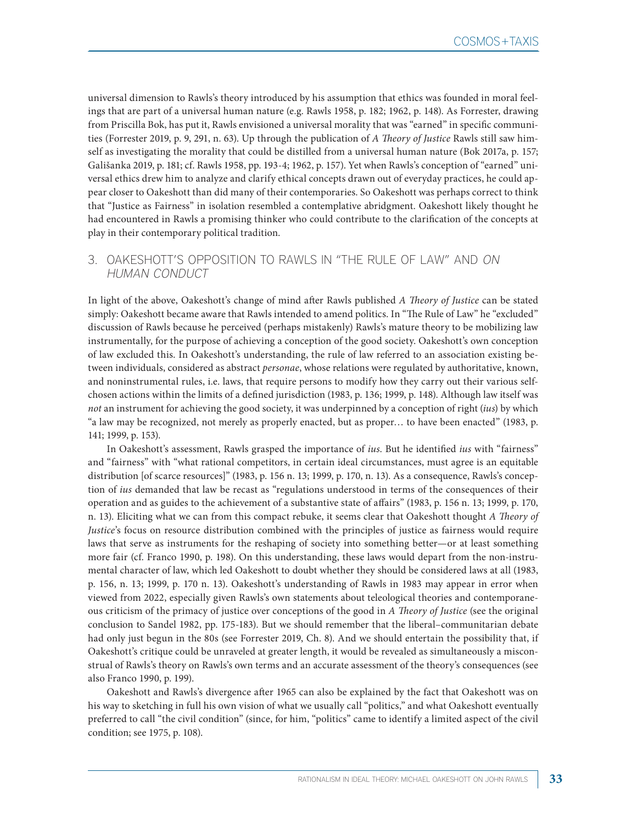universal dimension to Rawls's theory introduced by his assumption that ethics was founded in moral feelings that are part of a universal human nature (e.g. Rawls 1958, p. 182; 1962, p. 148). As Forrester, drawing from Priscilla Bok, has put it, Rawls envisioned a universal morality that was "earned" in specific communities (Forrester 2019, p. 9, 291, n. 63). Up through the publication of *A Theory of Justice* Rawls still saw himself as investigating the morality that could be distilled from a universal human nature (Bok 2017a, p. 157; Gališanka 2019, p. 181; cf. Rawls 1958, pp. 193-4; 1962, p. 157). Yet when Rawls's conception of "earned" universal ethics drew him to analyze and clarify ethical concepts drawn out of everyday practices, he could appear closer to Oakeshott than did many of their contemporaries. So Oakeshott was perhaps correct to think that "Justice as Fairness" in isolation resembled a contemplative abridgment. Oakeshott likely thought he had encountered in Rawls a promising thinker who could contribute to the clarification of the concepts at play in their contemporary political tradition.

## 3. OAKESHOTT'S OPPOSITION TO RAWLS IN "THE RULE OF LAW" AND ON HUMAN CONDUCT

In light of the above, Oakeshott's change of mind after Rawls published *A Theory of Justice* can be stated simply: Oakeshott became aware that Rawls intended to amend politics. In "The Rule of Law" he "excluded" discussion of Rawls because he perceived (perhaps mistakenly) Rawls's mature theory to be mobilizing law instrumentally, for the purpose of achieving a conception of the good society. Oakeshott's own conception of law excluded this. In Oakeshott's understanding, the rule of law referred to an association existing between individuals, considered as abstract *personae*, whose relations were regulated by authoritative, known, and noninstrumental rules, i.e. laws, that require persons to modify how they carry out their various selfchosen actions within the limits of a defined jurisdiction (1983, p. 136; 1999, p. 148). Although law itself was *not* an instrument for achieving the good society, it was underpinned by a conception of right (*ius*) by which "a law may be recognized, not merely as properly enacted, but as proper… to have been enacted" (1983, p. 141; 1999, p. 153).

In Oakeshott's assessment, Rawls grasped the importance of *ius*. But he identified *ius* with "fairness" and "fairness" with "what rational competitors, in certain ideal circumstances, must agree is an equitable distribution [of scarce resources]" (1983, p. 156 n. 13; 1999, p. 170, n. 13). As a consequence, Rawls's conception of *ius* demanded that law be recast as "regulations understood in terms of the consequences of their operation and as guides to the achievement of a substantive state of affairs" (1983, p. 156 n. 13; 1999, p. 170, n. 13). Eliciting what we can from this compact rebuke, it seems clear that Oakeshott thought *A Theory of Justice*'s focus on resource distribution combined with the principles of justice as fairness would require laws that serve as instruments for the reshaping of society into something better—or at least something more fair (cf. Franco 1990, p. 198). On this understanding, these laws would depart from the non-instrumental character of law, which led Oakeshott to doubt whether they should be considered laws at all (1983, p. 156, n. 13; 1999, p. 170 n. 13). Oakeshott's understanding of Rawls in 1983 may appear in error when viewed from 2022, especially given Rawls's own statements about teleological theories and contemporaneous criticism of the primacy of justice over conceptions of the good in *A Theory of Justice* (see the original conclusion to Sandel 1982, pp. 175-183). But we should remember that the liberal–communitarian debate had only just begun in the 80s (see Forrester 2019, Ch. 8). And we should entertain the possibility that, if Oakeshott's critique could be unraveled at greater length, it would be revealed as simultaneously a misconstrual of Rawls's theory on Rawls's own terms and an accurate assessment of the theory's consequences (see also Franco 1990, p. 199).

Oakeshott and Rawls's divergence after 1965 can also be explained by the fact that Oakeshott was on his way to sketching in full his own vision of what we usually call "politics," and what Oakeshott eventually preferred to call "the civil condition" (since, for him, "politics" came to identify a limited aspect of the civil condition; see 1975, p. 108).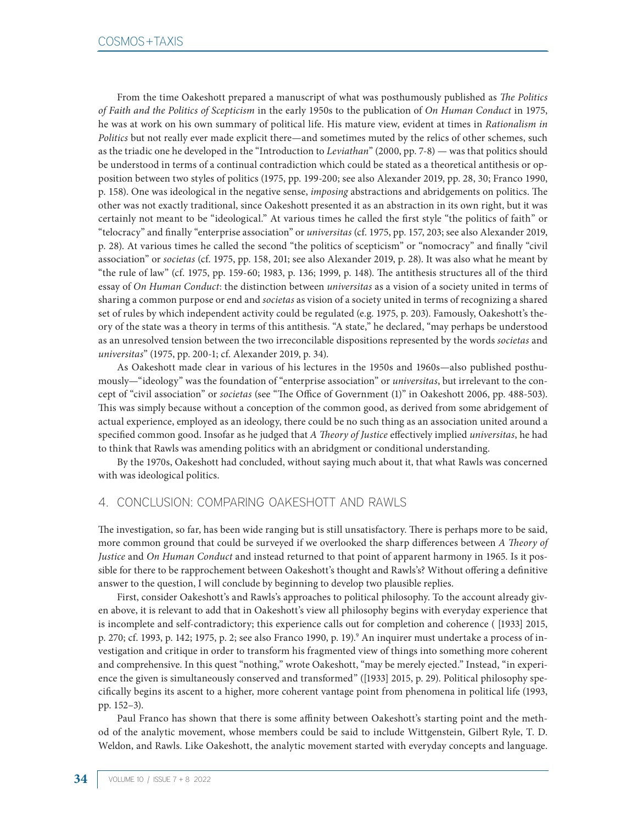From the time Oakeshott prepared a manuscript of what was posthumously published as *The Politics of Faith and the Politics of Scepticism* in the early 1950s to the publication of *On Human Conduct* in 1975, he was at work on his own summary of political life. His mature view, evident at times in *Rationalism in Politics* but not really ever made explicit there—and sometimes muted by the relics of other schemes, such as the triadic one he developed in the "Introduction to *Leviathan*" (2000, pp. 7-8) — was that politics should be understood in terms of a continual contradiction which could be stated as a theoretical antithesis or opposition between two styles of politics (1975, pp. 199-200; see also Alexander 2019, pp. 28, 30; Franco 1990, p. 158). One was ideological in the negative sense, *imposing* abstractions and abridgements on politics. The other was not exactly traditional, since Oakeshott presented it as an abstraction in its own right, but it was certainly not meant to be "ideological." At various times he called the first style "the politics of faith" or "telocracy" and finally "enterprise association" or *universitas* (cf. 1975, pp. 157, 203; see also Alexander 2019, p. 28). At various times he called the second "the politics of scepticism" or "nomocracy" and finally "civil association" or *societas* (cf. 1975, pp. 158, 201; see also Alexander 2019, p. 28). It was also what he meant by "the rule of law" (cf. 1975, pp. 159-60; 1983, p. 136; 1999, p. 148). The antithesis structures all of the third essay of *On Human Conduct*: the distinction between *universitas* as a vision of a society united in terms of sharing a common purpose or end and *societas* as vision of a society united in terms of recognizing a shared set of rules by which independent activity could be regulated (e.g. 1975, p. 203). Famously, Oakeshott's theory of the state was a theory in terms of this antithesis. "A state," he declared, "may perhaps be understood as an unresolved tension between the two irreconcilable dispositions represented by the words *societas* and *universitas*" (1975, pp. 200-1; cf. Alexander 2019, p. 34).

As Oakeshott made clear in various of his lectures in the 1950s and 1960s—also published posthumously—"ideology" was the foundation of "enterprise association" or *universitas*, but irrelevant to the concept of "civil association" or *societas* (see "The Office of Government (1)" in Oakeshott 2006, pp. 488-503). This was simply because without a conception of the common good, as derived from some abridgement of actual experience, employed as an ideology, there could be no such thing as an association united around a specified common good. Insofar as he judged that *A Theory of Justice* effectively implied *universitas*, he had to think that Rawls was amending politics with an abridgment or conditional understanding.

By the 1970s, Oakeshott had concluded, without saying much about it, that what Rawls was concerned with was ideological politics.

## 4. CONCLUSION: COMPARING OAKESHOTT AND RAWLS

The investigation, so far, has been wide ranging but is still unsatisfactory. There is perhaps more to be said, more common ground that could be surveyed if we overlooked the sharp differences between *A Theory of Justice* and *On Human Conduct* and instead returned to that point of apparent harmony in 1965. Is it possible for there to be rapprochement between Oakeshott's thought and Rawls's? Without offering a definitive answer to the question, I will conclude by beginning to develop two plausible replies.

First, consider Oakeshott's and Rawls's approaches to political philosophy. To the account already given above, it is relevant to add that in Oakeshott's view all philosophy begins with everyday experience that is incomplete and self-contradictory; this experience calls out for completion and coherence ( [1933] 2015, p. 270; cf. 1993, p. 142; 1975, p. 2; see also Franco 1990, p. 19).<sup>9</sup> An inquirer must undertake a process of investigation and critique in order to transform his fragmented view of things into something more coherent and comprehensive. In this quest "nothing," wrote Oakeshott, "may be merely ejected." Instead, "in experience the given is simultaneously conserved and transformed" ([1933] 2015, p. 29). Political philosophy specifically begins its ascent to a higher, more coherent vantage point from phenomena in political life (1993, pp. 152–3).

Paul Franco has shown that there is some affinity between Oakeshott's starting point and the method of the analytic movement, whose members could be said to include Wittgenstein, Gilbert Ryle, T. D. Weldon, and Rawls. Like Oakeshott, the analytic movement started with everyday concepts and language.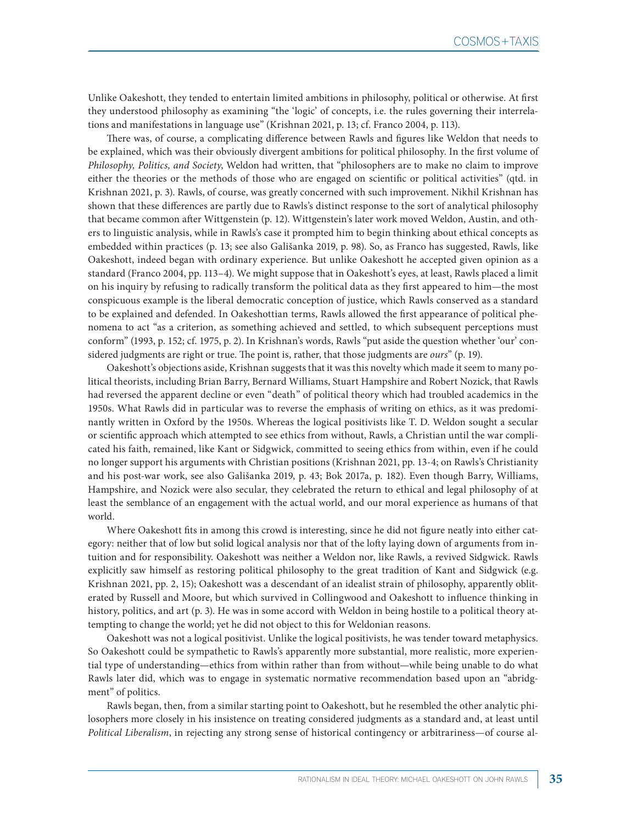Unlike Oakeshott, they tended to entertain limited ambitions in philosophy, political or otherwise. At first they understood philosophy as examining "the 'logic' of concepts, i.e. the rules governing their interrelations and manifestations in language use" (Krishnan 2021, p. 13; cf. Franco 2004, p. 113).

There was, of course, a complicating difference between Rawls and figures like Weldon that needs to be explained, which was their obviously divergent ambitions for political philosophy. In the first volume of *Philosophy, Politics, and Society*, Weldon had written, that "philosophers are to make no claim to improve either the theories or the methods of those who are engaged on scientific or political activities" (qtd. in Krishnan 2021, p. 3). Rawls, of course, was greatly concerned with such improvement. Nikhil Krishnan has shown that these differences are partly due to Rawls's distinct response to the sort of analytical philosophy that became common after Wittgenstein (p. 12). Wittgenstein's later work moved Weldon, Austin, and others to linguistic analysis, while in Rawls's case it prompted him to begin thinking about ethical concepts as embedded within practices (p. 13; see also Gališanka 2019, p. 98). So, as Franco has suggested, Rawls, like Oakeshott, indeed began with ordinary experience. But unlike Oakeshott he accepted given opinion as a standard (Franco 2004, pp. 113–4). We might suppose that in Oakeshott's eyes, at least, Rawls placed a limit on his inquiry by refusing to radically transform the political data as they first appeared to him—the most conspicuous example is the liberal democratic conception of justice, which Rawls conserved as a standard to be explained and defended. In Oakeshottian terms, Rawls allowed the first appearance of political phenomena to act "as a criterion, as something achieved and settled, to which subsequent perceptions must conform" (1993, p. 152; cf. 1975, p. 2). In Krishnan's words, Rawls "put aside the question whether 'our' considered judgments are right or true. The point is, rather, that those judgments are *ours*" (p. 19).

Oakeshott's objections aside, Krishnan suggests that it was this novelty which made it seem to many political theorists, including Brian Barry, Bernard Williams, Stuart Hampshire and Robert Nozick, that Rawls had reversed the apparent decline or even "death" of political theory which had troubled academics in the 1950s. What Rawls did in particular was to reverse the emphasis of writing on ethics, as it was predominantly written in Oxford by the 1950s. Whereas the logical positivists like T. D. Weldon sought a secular or scientific approach which attempted to see ethics from without, Rawls, a Christian until the war complicated his faith, remained, like Kant or Sidgwick, committed to seeing ethics from within, even if he could no longer support his arguments with Christian positions (Krishnan 2021, pp. 13-4; on Rawls's Christianity and his post-war work, see also Gališanka 2019, p. 43; Bok 2017a, p. 182). Even though Barry, Williams, Hampshire, and Nozick were also secular, they celebrated the return to ethical and legal philosophy of at least the semblance of an engagement with the actual world, and our moral experience as humans of that world.

Where Oakeshott fits in among this crowd is interesting, since he did not figure neatly into either category: neither that of low but solid logical analysis nor that of the lofty laying down of arguments from intuition and for responsibility. Oakeshott was neither a Weldon nor, like Rawls, a revived Sidgwick. Rawls explicitly saw himself as restoring political philosophy to the great tradition of Kant and Sidgwick (e.g. Krishnan 2021, pp. 2, 15); Oakeshott was a descendant of an idealist strain of philosophy, apparently obliterated by Russell and Moore, but which survived in Collingwood and Oakeshott to influence thinking in history, politics, and art (p. 3). He was in some accord with Weldon in being hostile to a political theory attempting to change the world; yet he did not object to this for Weldonian reasons.

Oakeshott was not a logical positivist. Unlike the logical positivists, he was tender toward metaphysics. So Oakeshott could be sympathetic to Rawls's apparently more substantial, more realistic, more experiential type of understanding—ethics from within rather than from without—while being unable to do what Rawls later did, which was to engage in systematic normative recommendation based upon an "abridgment" of politics.

Rawls began, then, from a similar starting point to Oakeshott, but he resembled the other analytic philosophers more closely in his insistence on treating considered judgments as a standard and, at least until *Political Liberalism*, in rejecting any strong sense of historical contingency or arbitrariness—of course al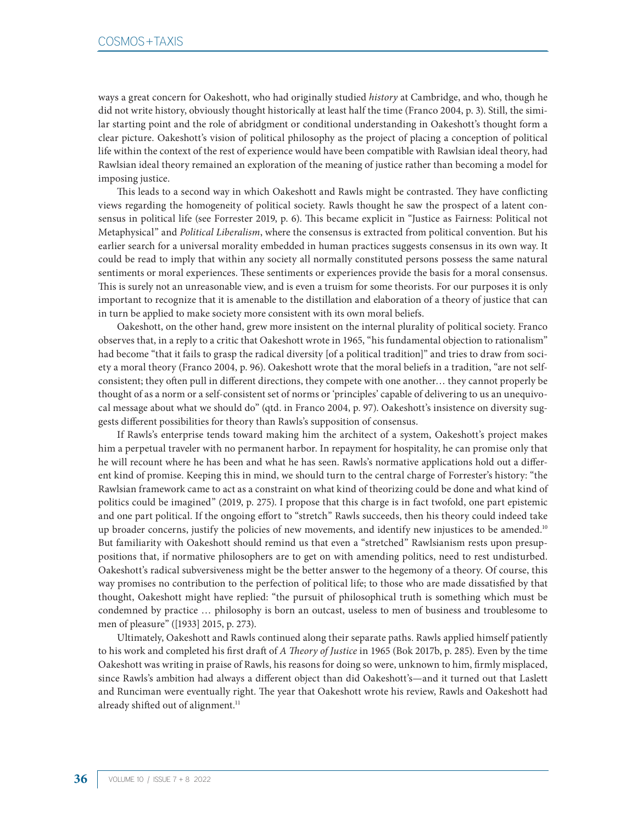ways a great concern for Oakeshott, who had originally studied *history* at Cambridge, and who, though he did not write history, obviously thought historically at least half the time (Franco 2004, p. 3). Still, the similar starting point and the role of abridgment or conditional understanding in Oakeshott's thought form a clear picture. Oakeshott's vision of political philosophy as the project of placing a conception of political life within the context of the rest of experience would have been compatible with Rawlsian ideal theory, had Rawlsian ideal theory remained an exploration of the meaning of justice rather than becoming a model for imposing justice.

This leads to a second way in which Oakeshott and Rawls might be contrasted. They have conflicting views regarding the homogeneity of political society. Rawls thought he saw the prospect of a latent consensus in political life (see Forrester 2019, p. 6). This became explicit in "Justice as Fairness: Political not Metaphysical" and *Political Liberalism*, where the consensus is extracted from political convention. But his earlier search for a universal morality embedded in human practices suggests consensus in its own way. It could be read to imply that within any society all normally constituted persons possess the same natural sentiments or moral experiences. These sentiments or experiences provide the basis for a moral consensus. This is surely not an unreasonable view, and is even a truism for some theorists. For our purposes it is only important to recognize that it is amenable to the distillation and elaboration of a theory of justice that can in turn be applied to make society more consistent with its own moral beliefs.

Oakeshott, on the other hand, grew more insistent on the internal plurality of political society. Franco observes that, in a reply to a critic that Oakeshott wrote in 1965, "his fundamental objection to rationalism" had become "that it fails to grasp the radical diversity [of a political tradition]" and tries to draw from society a moral theory (Franco 2004, p. 96). Oakeshott wrote that the moral beliefs in a tradition, "are not selfconsistent; they often pull in different directions, they compete with one another… they cannot properly be thought of as a norm or a self-consistent set of norms or 'principles' capable of delivering to us an unequivocal message about what we should do" (qtd. in Franco 2004, p. 97). Oakeshott's insistence on diversity suggests different possibilities for theory than Rawls's supposition of consensus.

If Rawls's enterprise tends toward making him the architect of a system, Oakeshott's project makes him a perpetual traveler with no permanent harbor. In repayment for hospitality, he can promise only that he will recount where he has been and what he has seen. Rawls's normative applications hold out a different kind of promise. Keeping this in mind, we should turn to the central charge of Forrester's history: "the Rawlsian framework came to act as a constraint on what kind of theorizing could be done and what kind of politics could be imagined" (2019, p. 275). I propose that this charge is in fact twofold, one part epistemic and one part political. If the ongoing effort to "stretch" Rawls succeeds, then his theory could indeed take up broader concerns, justify the policies of new movements, and identify new injustices to be amended.<sup>10</sup> But familiarity with Oakeshott should remind us that even a "stretched" Rawlsianism rests upon presuppositions that, if normative philosophers are to get on with amending politics, need to rest undisturbed. Oakeshott's radical subversiveness might be the better answer to the hegemony of a theory. Of course, this way promises no contribution to the perfection of political life; to those who are made dissatisfied by that thought, Oakeshott might have replied: "the pursuit of philosophical truth is something which must be condemned by practice … philosophy is born an outcast, useless to men of business and troublesome to men of pleasure" ([1933] 2015, p. 273).

Ultimately, Oakeshott and Rawls continued along their separate paths. Rawls applied himself patiently to his work and completed his first draft of *A Theory of Justice* in 1965 (Bok 2017b, p. 285). Even by the time Oakeshott was writing in praise of Rawls, his reasons for doing so were, unknown to him, firmly misplaced, since Rawls's ambition had always a different object than did Oakeshott's—and it turned out that Laslett and Runciman were eventually right. The year that Oakeshott wrote his review, Rawls and Oakeshott had already shifted out of alignment.<sup>11</sup>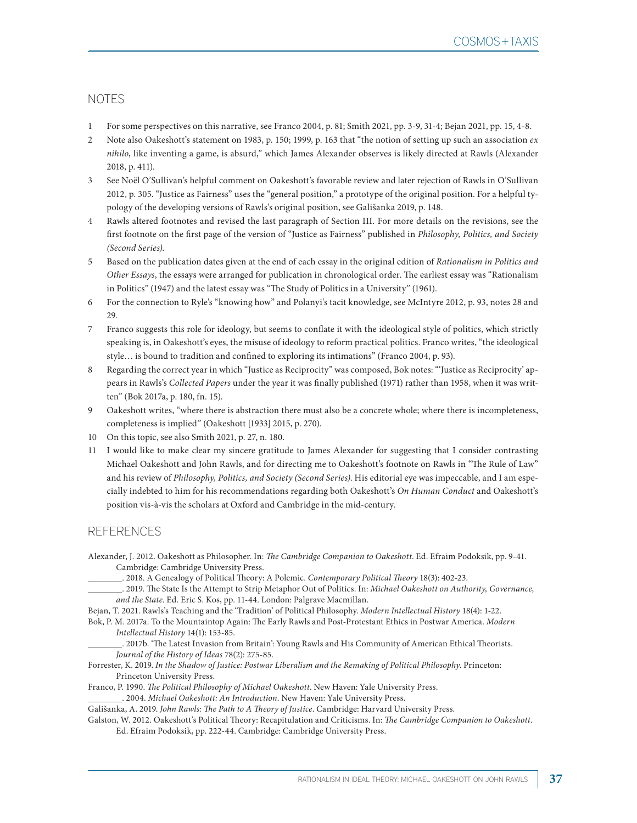# NOTES

- 1 For some perspectives on this narrative, see Franco 2004, p. 81; Smith 2021, pp. 3-9, 31-4; Bejan 2021, pp. 15, 4-8.
- 2 Note also Oakeshott's statement on 1983, p. 150; 1999, p. 163 that "the notion of setting up such an association *ex nihilo*, like inventing a game, is absurd," which James Alexander observes is likely directed at Rawls (Alexander 2018, p. 411).
- 3 See Noël O'Sullivan's helpful comment on Oakeshott's favorable review and later rejection of Rawls in O'Sullivan 2012, p. 305. "Justice as Fairness" uses the "general position," a prototype of the original position. For a helpful typology of the developing versions of Rawls's original position, see Gališanka 2019, p. 148.
- 4 Rawls altered footnotes and revised the last paragraph of Section III. For more details on the revisions, see the first footnote on the first page of the version of "Justice as Fairness" published in *Philosophy, Politics, and Society (Second Series).*
- 5 Based on the publication dates given at the end of each essay in the original edition of *Rationalism in Politics and Other Essays*, the essays were arranged for publication in chronological order. The earliest essay was "Rationalism in Politics" (1947) and the latest essay was "The Study of Politics in a University" (1961).
- 6 For the connection to Ryle's "knowing how" and Polanyi's tacit knowledge, see McIntyre 2012, p. 93, notes 28 and 29.
- 7 Franco suggests this role for ideology, but seems to conflate it with the ideological style of politics, which strictly speaking is, in Oakeshott's eyes, the misuse of ideology to reform practical politics. Franco writes, "the ideological style… is bound to tradition and confined to exploring its intimations" (Franco 2004, p. 93).
- 8 Regarding the correct year in which "Justice as Reciprocity" was composed, Bok notes: "'Justice as Reciprocity' appears in Rawls's *Collected Papers* under the year it was finally published (1971) rather than 1958, when it was written" (Bok 2017a, p. 180, fn. 15).
- 9 Oakeshott writes, "where there is abstraction there must also be a concrete whole; where there is incompleteness, completeness is implied" (Oakeshott [1933] 2015, p. 270).
- 10 On this topic, see also Smith 2021, p. 27, n. 180.
- 11 I would like to make clear my sincere gratitude to James Alexander for suggesting that I consider contrasting Michael Oakeshott and John Rawls, and for directing me to Oakeshott's footnote on Rawls in "The Rule of Law" and his review of *Philosophy, Politics, and Society (Second Series)*. His editorial eye was impeccable, and I am especially indebted to him for his recommendations regarding both Oakeshott's *On Human Conduct* and Oakeshott's position vis-à-vis the scholars at Oxford and Cambridge in the mid-century.

## REFERENCES

- Alexander, J. 2012. Oakeshott as Philosopher. In: *The Cambridge Companion to Oakeshott*. Ed. Efraim Podoksik, pp. 9-41. Cambridge: Cambridge University Press.
	- . 2018. A Genealogy of Political Theory: A Polemic. *Contemporary Political Theory* 18(3): 402-23.
	- . 2019. The State Is the Attempt to Strip Metaphor Out of Politics. In: *Michael Oakeshott on Authority, Governance, and the State*. Ed. Eric S. Kos, pp. 11-44. London: Palgrave Macmillan.
- Bejan, T. 2021. Rawls's Teaching and the 'Tradition' of Political Philosophy. *Modern Intellectual History* 18(4): 1-22.
- Bok, P. M. 2017a. To the Mountaintop Again: The Early Rawls and Post-Protestant Ethics in Postwar America. *Modern Intellectual History* 14(1): 153-85.

 . 2017b. 'The Latest Invasion from Britain': Young Rawls and His Community of American Ethical Theorists. *Journal of the History of Ideas* 78(2): 275-85.

Forrester, K. 2019. *In the Shadow of Justice: Postwar Liberalism and the Remaking of Political Philosophy*. Princeton: Princeton University Press.

Franco, P. 1990. *The Political Philosophy of Michael Oakeshott*. New Haven: Yale University Press.

. 2004. *Michael Oakeshott: An Introduction*. New Haven: Yale University Press.

Gališanka, A. 2019. *John Rawls: The Path to A Theory of Justice*. Cambridge: Harvard University Press.

Galston, W. 2012. Oakeshott's Political Theory: Recapitulation and Criticisms. In: *The Cambridge Companion to Oakeshott*. Ed. Efraim Podoksik, pp. 222-44. Cambridge: Cambridge University Press.